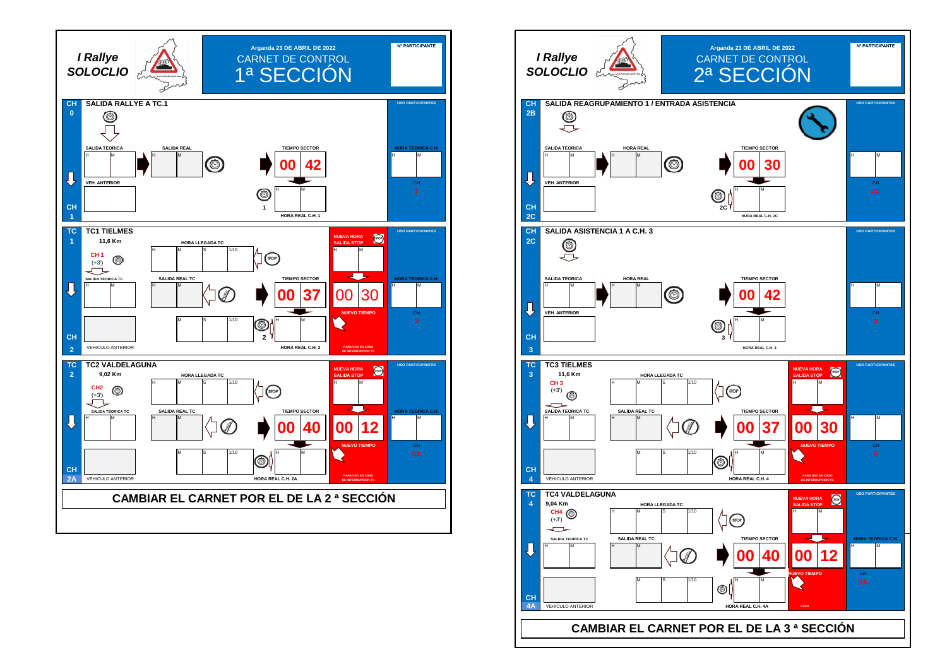